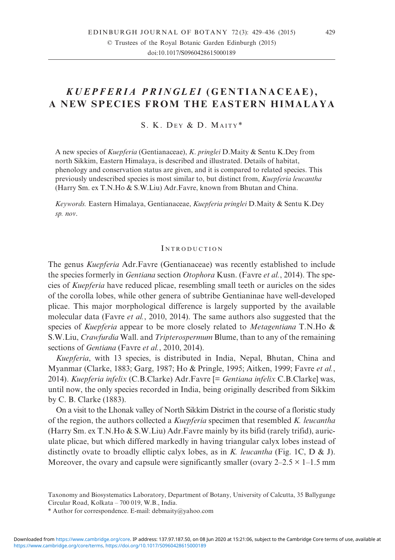# *KUEPFERIA PRINGLEI* **( G E N T I A N A C E A E ) ,**  A NEW SPECIES FROM THE EASTERN HIMALAYA

 $S. K.$  DEY  $& D.$  MAITY<sup>\*</sup>

 A new species of *Kuepferia* (Gentianaceae), *K* . *pringlei* D.Maity & Sentu K.Dey from north Sikkim, Eastern Himalaya, is described and illustrated. Details of habitat, phenology and conservation status are given, and it is compared to related species. This previously undescribed species is most similar to, but distinct from, *Kuepferia leucantha* (Harry Sm. ex T.N.Ho & S.W.Liu) Adr.Favre, known from Bhutan and China.

 *Keywords .* Eastern Himalaya , Gentianaceae , *Kuepferia pringlei* D.Maity & Sentu K.Dey *sp. nov* .

#### **INTRODUCTION**

 The genus *Kuepferia* Adr.Favre (Gentianaceae) was recently established to include the species formerly in *Gentiana* section *Otophora* Kusn. (Favre *et al.* , 2014 ). The species of *Kuepferia* have reduced plicae, resembling small teeth or auricles on the sides of the corolla lobes, while other genera of subtribe Gentianinae have well-developed plicae. This major morphological difference is largely supported by the available molecular data (Favre *et al.*, 2010, 2014). The same authors also suggested that the species of *Kuepferia* appear to be more closely related to *Metagentiana* T.N.Ho & S.W.Liu, *Crawfurdia* Wall. and *Tripterospermum* Blume, than to any of the remaining sections of *Gentiana* (Favre *et al.*, 2010, 2014).

*Kuepferia* , with 13 species, is distributed in India, Nepal, Bhutan, China and Myanmar (Clarke, 1883; Garg, 1987; Ho & Pringle, 1995; Aitken, 1999; Favre et al., 2014 ). *Kuepferia infelix* (C.B.Clarke) Adr.Favre [= *Gentiana infelix* C.B.Clarke] was, until now, the only species recorded in India, being originally described from Sikkim by C. B. Clarke (1883).

 On a visit to the Lhonak valley of North Sikkim District in the course of a floristic study of the region, the authors collected a *Kuepferia* specimen that resembled *K. leucantha* (Harry Sm. ex T.N.Ho & S.W.Liu) Adr.Favre mainly by its bifid (rarely trifid), auriculate plicae, but which differed markedly in having triangular calyx lobes instead of distinctly ovate to broadly elliptic calyx lobes, as in *K. leucantha* (Fig. 1C, D & J). Moreover, the ovary and capsule were significantly smaller (ovary  $2-2.5 \times 1-1.5$  mm

Taxonomy and Biosystematics Laboratory , Department of Botany , University of Calcutta , 35 Ballygunge Circular Road, Kolkata – 700 019, W.B., India.

 <sup>\*</sup> Author for correspondence. E-mail: debmaity@yahoo.com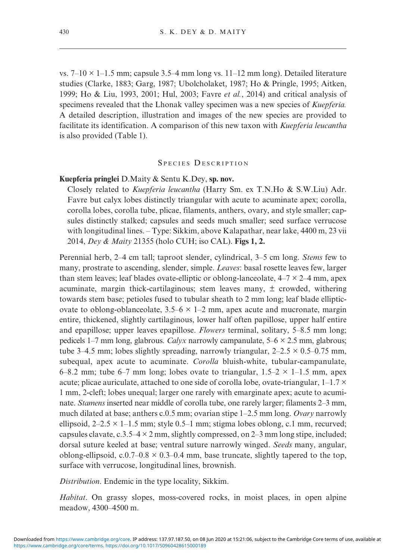vs.  $7-10 \times 1-1.5$  mm; capsule 3.5–4 mm long vs.  $11-12$  mm long). Detailed literature studies (Clarke, 1883; Garg, 1987; Ubolcholaket, 1987; Ho & Pringle, 1995; Aitken, 1999 ; Ho & Liu, 1993 , 2001 ; Hul, 2003 ; Favre *et al.* , 2014 ) and critical analysis of specimens revealed that the Lhonak valley specimen was a new species of *Kuepferia.* A detailed description, illustration and images of the new species are provided to facilitate its identification. A comparison of this new taxon with *Kuepferia leucantha* is also provided (Table 1).

### SPECIES DESCRIPTION

### **Kuepferia pringlei** D.Maity & Sentu K.Dey, **sp. nov.**

 Closely related to *Kuepferia leucantha* (Harry Sm. ex T.N.Ho & S.W.Liu) Adr. Favre but calyx lobes distinctly triangular with acute to acuminate apex; corolla, corolla lobes, corolla tube, plicae, filaments, anthers, ovary, and style smaller; capsules distinctly stalked; capsules and seeds much smaller; seed surface verrucose with longitudinal lines. – Type: Sikkim, above Kalapathar, near lake, 4400 m, 23 vii 2014, *Dey & Maity* 21355 (holo CUH; iso CAL). **Figs 1, 2.**

 Perennial herb, 2–4 cm tall; taproot slender, cylindrical, 3–5 cm long. *Stems* few to many, prostrate to ascending, slender, simple. *Leaves* : basal rosette leaves few, larger than stem leaves; leaf blades ovate-elliptic or oblong-lanceolate,  $4-7 \times 2-4$  mm, apex acuminate, margin thick-cartilaginous; stem leaves many,  $\pm$  crowded, withering towards stem base; petioles fused to tubular sheath to 2 mm long; leaf blade ellipticovate to oblong-oblanceolate,  $3.5-6 \times 1-2$  mm, apex acute and mucronate, margin entire, thickened, slightly cartilaginous, lower half often papillose, upper half entire and epapillose; upper leaves epapillose. *Flowers* terminal, solitary, 5–8.5 mm long; pedicels 1–7 mm long, glabrous. *Calyx* narrowly campanulate, 5–6 × 2.5 mm, glabrous; tube 3–4.5 mm; lobes slightly spreading, narrowly triangular,  $2-2.5 \times 0.5-0.75$  mm, subequal, apex acute to acuminate. *Corolla* bluish-white, tubular-campanulate, 6–8.2 mm; tube 6–7 mm long; lobes ovate to triangular,  $1.5-2 \times 1-1.5$  mm, apex acute; plicae auriculate, attached to one side of corolla lobe, ovate-triangular,  $1-1.7 \times$ 1 mm, 2-cleft; lobes unequal; larger one rarely with emarginate apex; acute to acuminate. *Stamens* inserted near middle of corolla tube, one rarely larger; filaments 2–3 mm, much dilated at base; anthers c.0.5 mm; ovarian stipe 1–2.5 mm long. *Ovary* narrowly ellipsoid,  $2-2.5 \times 1-1.5$  mm; style 0.5–1 mm; stigma lobes oblong, c.1 mm, recurved; capsules clavate, c.3.5–4  $\times$  2 mm, slightly compressed, on 2–3 mm long stipe, included; dorsal suture keeled at base; ventral suture narrowly winged. *Seeds* many, angular, oblong-ellipsoid, c.0.7–0.8  $\times$  0.3–0.4 mm, base truncate, slightly tapered to the top, surface with verrucose, longitudinal lines, brownish.

*Distribution* . Endemic in the type locality, Sikkim.

*Habitat*. On grassy slopes, moss-covered rocks, in moist places, in open alpine meadow, 4300–4500 m.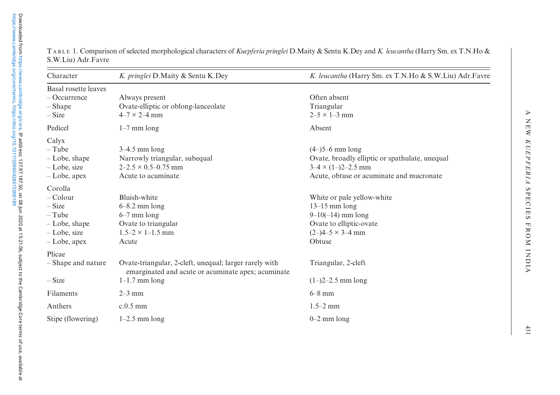| Þ                                                                                                                                                               |
|-----------------------------------------------------------------------------------------------------------------------------------------------------------------|
| $\ddot{\phantom{0}}$<br>ł<br>t<br>-<br>l                                                                                                                        |
| $\tilde{z}$<br>֖ׅׅ֧֧֧ׅ֚֚֚֚֚֚֚֚֚֚֚֚֚֚֚֚֬֡֡֡֡֡֡֡֡֡֬֓֡֬֓֡֬֝֓֬֓֡֬֓֬֩<br>ł<br>ł<br>$\overline{t}$<br>l<br>$\frac{1}{2}$<br>j<br>ĭ<br>1<br>The State of the<br>J<br>ï |
| .<br>גדולות<br>ì<br>j<br>۱<br>j<br>I<br>$\overline{ }$<br>ł<br>j<br>Ì                                                                                           |
| ,<br>j<br>ĭ<br>j<br>ī<br>$\frac{1}{2}$                                                                                                                          |
| ł<br>$\frac{1}{2}$<br>í<br>ł<br>Ì<br>Ï<br>ı<br>j<br>I                                                                                                           |
|                                                                                                                                                                 |
| ť<br>l<br>I                                                                                                                                                     |

 T ABLE 1. Comparison of selected morphological characters of *Kuepferia pringlei* D.Maity & Sentu K.Dey and *K. leucantha* (Harry Sm. ex T.N.Ho & S.W.Liu) Adr.Favre

| Character                                                                                        | K. pringlei D.Maity & Sentu K.Dey                                                                                               | K. leucantha (Harry Sm. ex T.N.Ho & S.W.Liu) Adr.Favre                                                                                       |
|--------------------------------------------------------------------------------------------------|---------------------------------------------------------------------------------------------------------------------------------|----------------------------------------------------------------------------------------------------------------------------------------------|
| Basal rosette leaves<br>$-$ Occurrence<br>$-$ Shape<br>$-Size$                                   | Always present<br>Ovate-elliptic or oblong-lanceolate<br>$4 - 7 \times 2 - 4$ mm                                                | Often absent<br>Triangular<br>$2 - 5 \times 1 - 3$ mm                                                                                        |
| Pedicel                                                                                          | $1-7$ mm long                                                                                                                   | Absent                                                                                                                                       |
| Calyx<br>$-$ Tube<br>$-Lobe, shape$<br>$-Lobe$ , size<br>$-Lobe$ , apex                          | $3-4.5$ mm long<br>Narrowly triangular, subequal<br>$2-2.5 \times 0.5-0.75$ mm<br>Acute to acuminate                            | $(4-)5-6$ mm long<br>Ovate, broadly elliptic or spathulate, unequal<br>$3-4 \times (1-)2-2.5$ mm<br>Acute, obtuse or acuminate and mucronate |
| Corolla<br>$-Colour$<br>$-Size$<br>$-$ Tube<br>$-Lobe, shape$<br>$-Lobe, size$<br>$-Lobe$ , apex | Bluish-white<br>$6-8.2$ mm long<br>$6-7$ mm long<br>Ovate to triangular<br>$1.5 - 2 \times 1 - 1.5$ mm<br>Acute                 | White or pale yellow-white<br>$13-15$ mm long<br>$9-10(-14)$ mm long<br>Ovate to elliptic-ovate<br>$(2-)4-5 \times 3-4$ mm<br>Obtuse         |
| Plicae<br>- Shape and nature<br>$-Size$                                                          | Ovate-triangular, 2-cleft, unequal; larger rarely with<br>emarginated and acute or acuminate apex; acuminate<br>$1-1.7$ mm long | Triangular, 2-cleft<br>$(1-2-2.5$ mm long                                                                                                    |
| Filaments                                                                                        | $2-3$ mm                                                                                                                        | $6 - 8$ mm                                                                                                                                   |
| Anthers                                                                                          | $c.0.5$ mm                                                                                                                      | $1.5 - 2$ mm                                                                                                                                 |
| Stipe (flowering)                                                                                | $1-2.5$ mm long                                                                                                                 | $0-2$ mm long                                                                                                                                |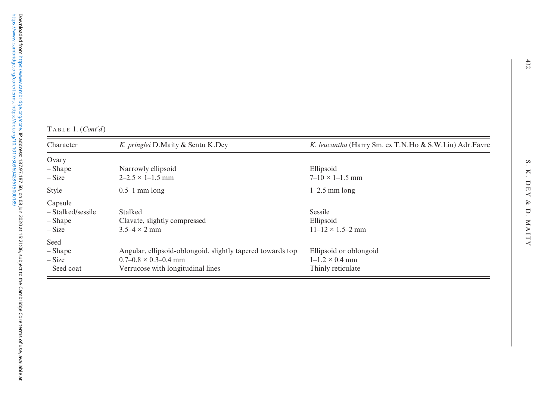## T ABLE 1. (*Cont'd* )

| TABLE 1. (Cont'd) |                                                            |                                                        |  |
|-------------------|------------------------------------------------------------|--------------------------------------------------------|--|
| Character         | K. pringlei D.Maity & Sentu K.Dey                          | K. leucantha (Harry Sm. ex T.N.Ho & S.W.Liu) Adr.Favre |  |
| Ovary             |                                                            |                                                        |  |
| - Shape           | Narrowly ellipsoid                                         | Ellipsoid                                              |  |
| – Size            | $2 - 2.5 \times 1 - 1.5$ mm                                | $7-10 \times 1-1.5$ mm                                 |  |
| Style             | $0.5-1$ mm long                                            | $1-2.5$ mm long                                        |  |
| Capsule           |                                                            |                                                        |  |
| - Stalked/sessile | Stalked                                                    | Sessile                                                |  |
| – Shape           | Clavate, slightly compressed                               | Ellipsoid                                              |  |
| – Size            | $3.5-4 \times 2$ mm                                        | $11-12 \times 1.5-2$ mm                                |  |
| Seed              |                                                            |                                                        |  |
| - Shape           | Angular, ellipsoid-oblongoid, slightly tapered towards top | Ellipsoid or oblongoid                                 |  |
| – Size            | $0.7 - 0.8 \times 0.3 - 0.4$ mm                            | $1 - 1.2 \times 0.4$ mm                                |  |
| - Seed coat       | Verrucose with longitudinal lines                          | Thinly reticulate                                      |  |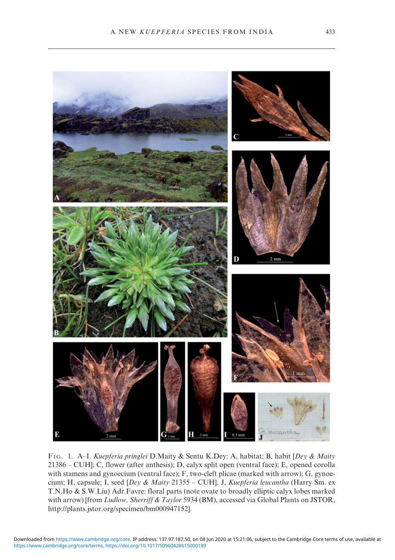

 FI G . 1. A–I. *Kuepferia pringlei* D.Maity & Sentu K.Dey: A, habitat; B, habit [ *Dey & Maity* 21386 – CUH]; C, flower (after anthesis); D, calyx split open (ventral face); E, opened corolla with stamens and gynoecium (ventral face); F, two-cleft plicae (marked with arrow); G, gynoecium; H, capsule; I, seed [ *Dey & Maity* 21355 – CUH]. J, *Kuepferia leucantha* (Harry Sm. ex T.N.Ho & S.W.Liu) Adr.Favre: floral parts (note ovate to broadly elliptic calyx lobes marked with arrow) [from *Ludlow, Sherriff & Taylor* 5934 (BM), accessed via Global Plants on JSTOR, http://plants.jstor.org/specimen/bm000947152 ].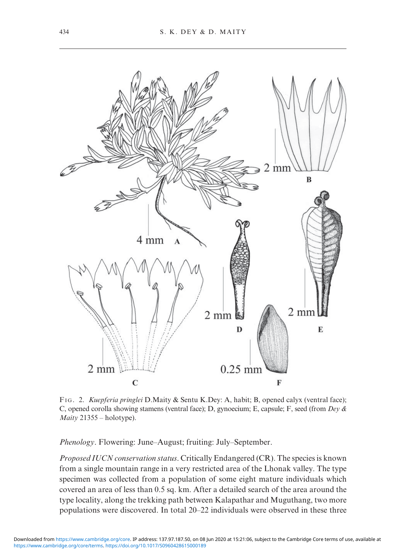

 FI G . 2. *Kuepferia pringlei* D.Maity & Sentu K.Dey: A, habit; B, opened calyx (ventral face); C, opened corolla showing stamens (ventral face); D, gynoecium; E, capsule; F, seed (from *Dey & Maity* 21355 – holotype).

*Phenology* . Flowering: June–August; fruiting: July–September.

*Proposed IUCN conservation status* . Critically Endangered (CR). The species is known from a single mountain range in a very restricted area of the Lhonak valley. The type specimen was collected from a population of some eight mature individuals which covered an area of less than 0.5 sq. km. After a detailed search of the area around the type locality, along the trekking path between Kalapathar and Muguthang, two more populations were discovered. In total 20–22 individuals were observed in these three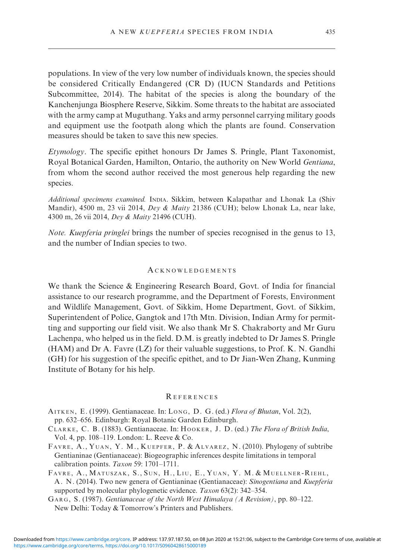populations. In view of the very low number of individuals known, the species should be considered Critically Endangered (CR D) (IUCN Standards and Petitions Subcommittee, 2014). The habitat of the species is along the boundary of the Kanchenjunga Biosphere Reserve, Sikkim. Some threats to the habitat are associated with the army camp at Muguthang. Yaks and army personnel carrying military goods and equipment use the footpath along which the plants are found. Conservation measures should be taken to save this new species.

*Etymology* . The specific epithet honours Dr James S. Pringle, Plant Taxonomist, Royal Botanical Garden, Hamilton, Ontario, the authority on New World *Gentiana* , from whom the second author received the most generous help regarding the new species.

*Additional specimens examined.* INDIA . Sikkim, between Kalapathar and Lhonak La (Shiv Mandir), 4500 m, 23 vii 2014, *Dey & Maity* 21386 (CUH); below Lhonak La, near lake, 4300 m, 26 vii 2014, *Dey & Maity* 21496 (CUH).

*Note. Kuepferia pringlei* brings the number of species recognised in the genus to 13, and the number of Indian species to two.

#### **ACKNOWLEDGEMENTS**

We thank the Science & Engineering Research Board, Govt. of India for financial assistance to our research programme, and the Department of Forests, Environment and Wildlife Management, Govt. of Sikkim, Home Department, Govt. of Sikkim, Superintendent of Police, Gangtok and 17th Mtn. Division, Indian Army for permitting and supporting our field visit. We also thank Mr S. Chakraborty and Mr Guru Lachenpa, who helped us in the field. D.M. is greatly indebted to Dr James S. Pringle (HAM) and Dr A. Favre (LZ) for their valuable suggestions, to Prof. K. N. Gandhi (GH) for his suggestion of the specific epithet, and to Dr Jian-Wen Zhang, Kunming Institute of Botany for his help.

#### **REFERENCES**

- AITKEN, E. (1999). Gentianaceae. In: LONG, D. G. (ed.) *Flora of Bhutan*, Vol. 2(2), pp. 632–656. Edinburgh: Royal Botanic Garden Edinburgh.
- CLARKE , C. B . ( 1883 ). Gentianaceae . In: HOOKER , J. D . (ed.) *The Flora of British India* , Vol. 4, pp.  $108 - 119$ . London: L. Reeve & Co.
- FAVRE, A., YUAN, Y. M., KUEPFER, P. & ALVAREZ, N. (2010). Phylogeny of subtribe Gentianinae (Gentianaceae): Biogeographic inferences despite limitations in temporal calibration points. *Taxon* 59: 1701-1711.
- FAVRE, A., MATUSZAK, S., SUN, H., LIU, E., YUAN, Y. M. & MUELLNER-RIEHL, A. N . ( 2014 ). Two new genera of Gentianinae (Gentianaceae): *Sinogentiana* and *Kuepferia* supported by molecular phylogenetic evidence. *Taxon* 63(2): 342–354.
- GARG, S. (1987). *Gentianaceae of the North West Himalaya (A Revision)*, pp. 80–122. New Delhi: Today & Tomorrow's Printers and Publishers.